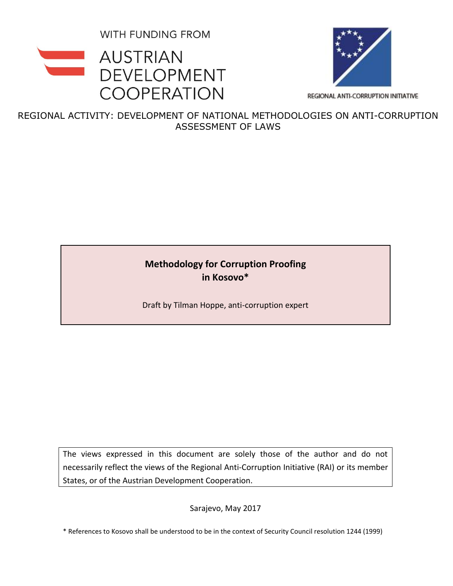WITH FUNDING FROM





REGIONAL ANTI-CORRUPTION INITIATIVE

REGIONAL ACTIVITY: DEVELOPMENT OF NATIONAL METHODOLOGIES ON ANTI-CORRUPTION ASSESSMENT OF LAWS

# **Methodology for Corruption Proofing in Kosovo\***

Draft by Tilman Hoppe, anti-corruption expert

The views expressed in this document are solely those of the author and do not necessarily reflect the views of the Regional Anti-Corruption Initiative (RAI) or its member States, or of the Austrian Development Cooperation.

Sarajevo, May 2017

\* References to Kosovo shall be understood to be in the context of Security Council resolution 1244 (1999)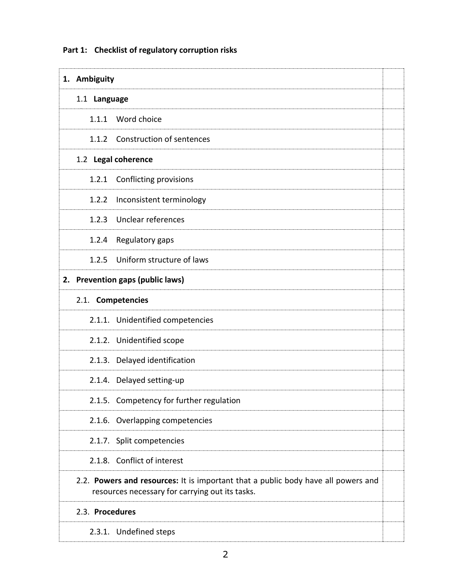**1. Ambiguity** 1.1**Language**  1.1.1 Word choice 1.1.2 Construction of sentences 1.2 **Legal coherence**  1.2.1 Conflicting provisions 1.2.2 Inconsistent terminology 1.2.3 Unclear references 1.2.4 Regulatory gaps 1.2.5 Uniform structure of laws **2. Prevention gaps (public laws)** 2.1. **Competencies** 2.1.1. Unidentified competencies 2.1.2. Unidentified scope 2.1.3. Delayed identification 2.1.4. Delayed setting-up 2.1.5. Competency for further regulation 2.1.6. Overlapping competencies 2.1.7. Split competencies 2.1.8. Conflict of interest 2.2. **Powers and resources:** It is important that a public body have all powers and resources necessary for carrying out its tasks. 2.3. **Procedures**  2.3.1. Undefined steps

#### **Part 1: Checklist of regulatory corruption risks**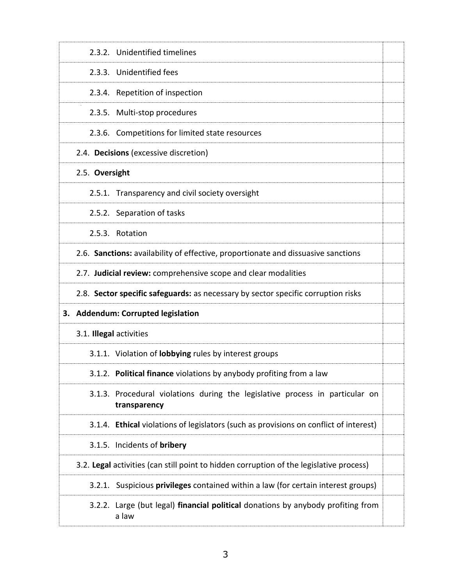| 2.3.2. Unidentified timelines                                                                |  |
|----------------------------------------------------------------------------------------------|--|
| 2.3.3. Unidentified fees                                                                     |  |
| 2.3.4. Repetition of inspection                                                              |  |
| 2.3.5. Multi-stop procedures                                                                 |  |
| 2.3.6. Competitions for limited state resources                                              |  |
| 2.4. Decisions (excessive discretion)                                                        |  |
| 2.5. Oversight                                                                               |  |
| 2.5.1. Transparency and civil society oversight                                              |  |
| 2.5.2. Separation of tasks                                                                   |  |
| 2.5.3. Rotation                                                                              |  |
| 2.6. Sanctions: availability of effective, proportionate and dissuasive sanctions            |  |
| 2.7. Judicial review: comprehensive scope and clear modalities                               |  |
| 2.8. Sector specific safeguards: as necessary by sector specific corruption risks            |  |
| 3. Addendum: Corrupted legislation                                                           |  |
| 3.1. Illegal activities                                                                      |  |
|                                                                                              |  |
| 3.1.1. Violation of lobbying rules by interest groups                                        |  |
| 3.1.2. Political finance violations by anybody profiting from a law                          |  |
| 3.1.3. Procedural violations during the legislative process in particular on<br>transparency |  |
| 3.1.4. Ethical violations of legislators (such as provisions on conflict of interest)        |  |
| 3.1.5. Incidents of bribery                                                                  |  |
| 3.2. Legal activities (can still point to hidden corruption of the legislative process)      |  |
| 3.2.1. Suspicious privileges contained within a law (for certain interest groups)            |  |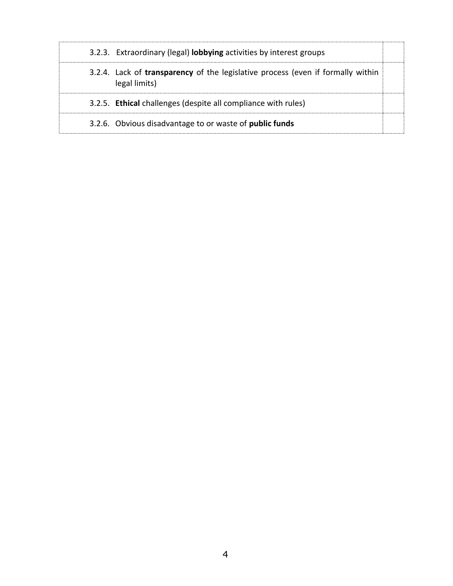| 3.2.3. Extraordinary (legal) <b>lobbying</b> activities by interest groups                              |  |
|---------------------------------------------------------------------------------------------------------|--|
| 3.2.4. Lack of <b>transparency</b> of the legislative process (even if formally within<br>legal limits) |  |
| 3.2.5. Ethical challenges (despite all compliance with rules)                                           |  |
| 3.2.6. Obvious disadvantage to or waste of <b>public funds</b>                                          |  |
|                                                                                                         |  |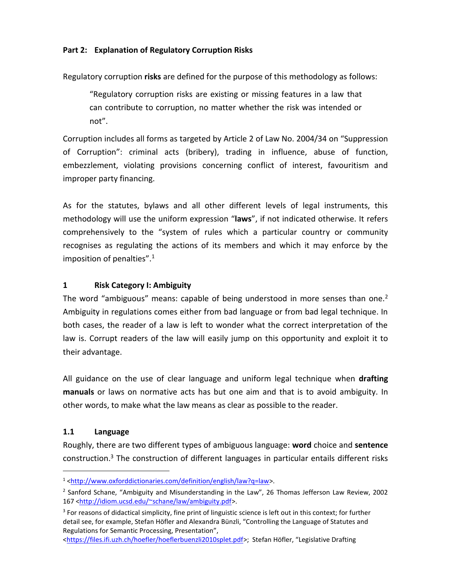#### <span id="page-4-0"></span>**Part 2: Explanation of Regulatory Corruption Risks**

Regulatory corruption **risks** are defined for the purpose of this methodology as follows:

"Regulatory corruption risks are existing or missing features in a law that can contribute to corruption, no matter whether the risk was intended or not".

Corruption includes all forms as targeted by Article 2 of Law No. 2004/34 on "Suppression of Corruption": criminal acts (bribery), trading in influence, abuse of function, embezzlement, violating provisions concerning conflict of interest, favouritism and improper party financing.

As for the statutes, bylaws and all other different levels of legal instruments, this methodology will use the uniform expression "**laws**", if not indicated otherwise. It refers comprehensively to the "system of rules which a particular country or community recognises as regulating the actions of its members and which it may enforce by the imposition of penalties".<sup>1</sup>

## **1 Risk Category I: Ambiguity**

The word "ambiguous" means: capable of being understood in more senses than one.<sup>2</sup> Ambiguity in regulations comes either from bad language or from bad legal technique. In both cases, the reader of a law is left to wonder what the correct interpretation of the law is. Corrupt readers of the law will easily jump on this opportunity and exploit it to their advantage.

All guidance on the use of clear language and uniform legal technique when **drafting manuals** or laws on normative acts has but one aim and that is to avoid ambiguity. In other words, to make what the law means as clear as possible to the reader.

## **1.1 Language**

ı

Roughly, there are two different types of ambiguous language: **word** choice and **sentence** construction.<sup>3</sup> The construction of different languages in particular entails different risks

<sup>1</sup> [<http://www.oxforddictionaries.com/definition/english/law?q=law>](http://www.oxforddictionaries.com/definition/english/law?q=law).

<sup>&</sup>lt;sup>2</sup> Sanford Schane, "Ambiguity and Misunderstanding in the Law", 26 Thomas Jefferson Law Review, 2002 167 [<http://idiom.ucsd.edu/~schane/law/ambiguity.pdf>](http://idiom.ucsd.edu/~schane/law/ambiguity.pdf).

<sup>&</sup>lt;sup>3</sup> For reasons of didactical simplicity, fine print of linguistic science is left out in this context; for further detail see, for example, Stefan Höfler and Alexandra Bünzli, "Controlling the Language of Statutes and Regulations for Semantic Processing, Presentation",

[<sup>&</sup>lt;https://files.ifi.uzh.ch/hoefler/hoeflerbuenzli2010splet.pdf](https://files.ifi.uzh.ch/hoefler/hoeflerbuenzli2010splet.pdf)>; Stefan Höfler, "Legislative Drafting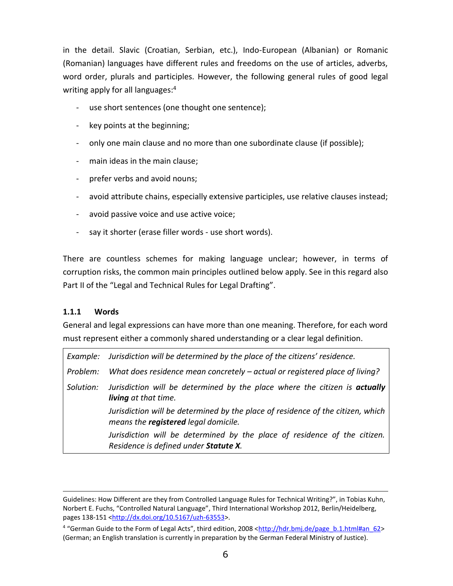in the detail. Slavic (Croatian, Serbian, etc.), Indo-European (Albanian) or Romanic (Romanian) languages have different rules and freedoms on the use of articles, adverbs, word order, plurals and participles. However, the following general rules of good legal writing apply for all languages: 4

- use short sentences (one thought one sentence);
- key points at the beginning;
- only one main clause and no more than one subordinate clause (if possible);
- main ideas in the main clause;
- prefer verbs and avoid nouns;
- avoid attribute chains, especially extensive participles, use relative clauses instead;
- avoid passive voice and use active voice;
- say it shorter (erase filler words use short words).

There are countless schemes for making language unclear; however, in terms of corruption risks, the common main principles outlined below apply. See in this regard also Part II of the "Legal and Technical Rules for Legal Drafting".

#### <span id="page-5-0"></span>**1.1.1 Words**

ı

General and legal expressions can have more than one meaning. Therefore, for each word must represent either a commonly shared understanding or a clear legal definition.

| Example:  | Jurisdiction will be determined by the place of the citizens' residence.                                                       |
|-----------|--------------------------------------------------------------------------------------------------------------------------------|
| Problem:  | What does residence mean concretely – actual or registered place of living?                                                    |
| Solution: | Jurisdiction will be determined by the place where the citizen is <b>actually</b><br>living at that time.                      |
|           | Jurisdiction will be determined by the place of residence of the citizen, which<br>means the <b>registered</b> legal domicile. |
|           | Jurisdiction will be determined by the place of residence of the citizen.<br>Residence is defined under Statute X.             |

Guidelines: How Different are they from Controlled Language Rules for Technical Writing?", in Tobias Kuhn, Norbert E. Fuchs, "Controlled Natural Language", Third International Workshop 2012, Berlin/Heidelberg, pages 138-151 [<http://dx.doi.org/10.5167/uzh-63553>](http://dx.doi.org/10.5167/uzh-63553).

<sup>&</sup>lt;sup>4</sup> "German Guide to the Form of Legal Acts", third edition, 2008 <[http://hdr.bmj.de/page\\_b.1.html#an\\_62>](http://hdr.bmj.de/page_b.1.html#an_62) (German; an English translation is currently in preparation by the German Federal Ministry of Justice).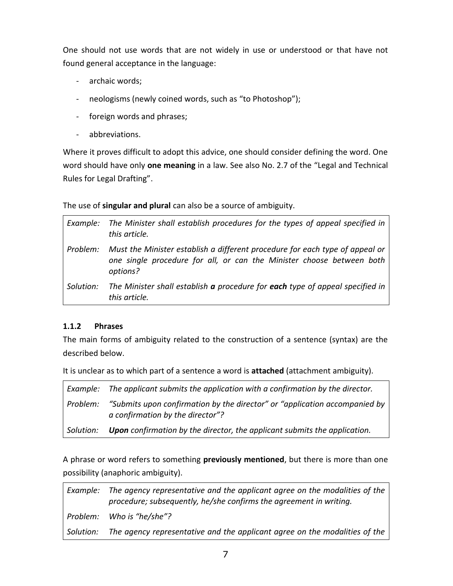One should not use words that are not widely in use or understood or that have not found general acceptance in the language:

- archaic words;
- neologisms (newly coined words, such as "to Photoshop");
- foreign words and phrases;
- abbreviations.

Where it proves difficult to adopt this advice, one should consider defining the word. One word should have only **one meaning** in a law. See also No. 2.7 of the "Legal and Technical Rules for Legal Drafting".

The use of **singular and plural** can also be a source of ambiguity.

| Example:  | The Minister shall establish procedures for the types of appeal specified in<br>this article.                                                                     |
|-----------|-------------------------------------------------------------------------------------------------------------------------------------------------------------------|
| Problem:  | Must the Minister establish a different procedure for each type of appeal or<br>one single procedure for all, or can the Minister choose between both<br>options? |
| Solution: | The Minister shall establish a procedure for each type of appeal specified in<br>this article.                                                                    |

## **1.1.2 Phrases**

The main forms of ambiguity related to the construction of a sentence (syntax) are the described below.

It is unclear as to which part of a sentence a word is **attached** (attachment ambiguity).

|           | Example: The applicant submits the application with a confirmation by the director.                            |
|-----------|----------------------------------------------------------------------------------------------------------------|
| Problem:  | "Submits upon confirmation by the director" or "application accompanied by<br>a confirmation by the director"? |
| Solution: | <b>Upon</b> confirmation by the director, the applicant submits the application.                               |

A phrase or word refers to something **previously mentioned**, but there is more than one possibility (anaphoric ambiguity).

*Example: The agency representative and the applicant agree on the modalities of the procedure; subsequently, he/she confirms the agreement in writing. Problem: Who is "he/she"? Solution: The agency representative and the applicant agree on the modalities of the*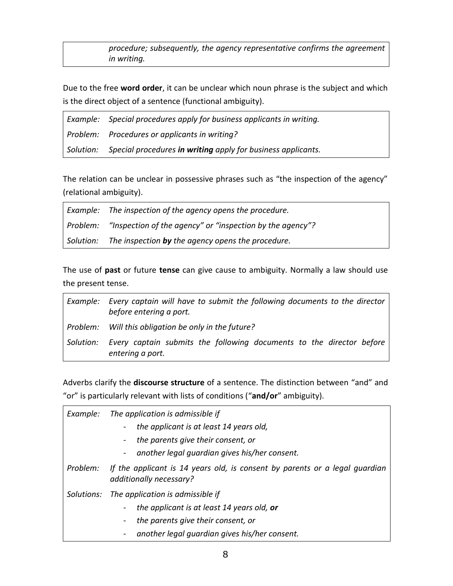*procedure; subsequently, the agency representative confirms the agreement in writing.*

Due to the free **word order**, it can be unclear which noun phrase is the subject and which is the direct object of a sentence (functional ambiguity).

| Example: Special procedures apply for business applicants in writing.  |
|------------------------------------------------------------------------|
| Problem: Procedures or applicants in writing?                          |
| Solution: Special procedures in writing apply for business applicants. |

The relation can be unclear in possessive phrases such as "the inspection of the agency" (relational ambiguity).

| Example: The inspection of the agency opens the procedure.         |
|--------------------------------------------------------------------|
| Problem: "Inspection of the agency" or "inspection by the agency"? |
| Solution: The inspection by the agency opens the procedure.        |

The use of **past** or future **tense** can give cause to ambiguity. Normally a law should use the present tense.

|           | Example: Every captain will have to submit the following documents to the director<br>before entering a port. |
|-----------|---------------------------------------------------------------------------------------------------------------|
| Problem:  | Will this obligation be only in the future?                                                                   |
| Solution: | Every captain submits the following documents to the director before<br>entering a port.                      |

Adverbs clarify the **discourse structure** of a sentence. The distinction between "and" and "or" is particularly relevant with lists of conditions ("**and/or**" ambiguity).

| Example: | The application is admissible if                                                                       |
|----------|--------------------------------------------------------------------------------------------------------|
|          | the applicant is at least 14 years old,                                                                |
|          | the parents give their consent, or                                                                     |
|          | another legal quardian gives his/her consent.                                                          |
| Problem: | If the applicant is 14 years old, is consent by parents or a legal guardian<br>additionally necessary? |
|          | Solutions: The application is admissible if                                                            |
|          | the applicant is at least 14 years old, or                                                             |
|          | the parents give their consent, or                                                                     |
|          | another legal quardian gives his/her consent.                                                          |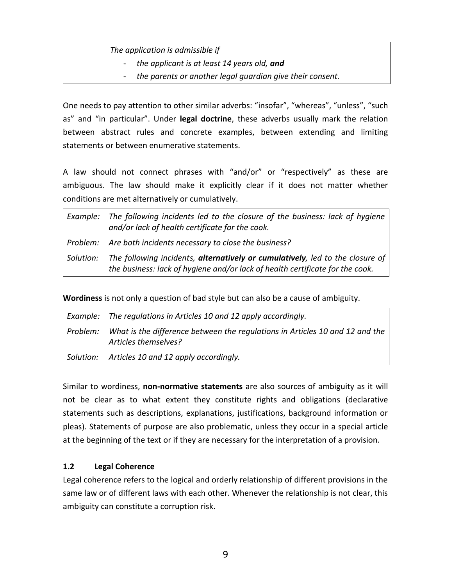## *The application is admissible if*

- *the applicant is at least 14 years old, and*
- *the parents or another legal guardian give their consent.*

One needs to pay attention to other similar adverbs: "insofar", "whereas", "unless", "such as" and "in particular". Under **legal doctrine**, these adverbs usually mark the relation between abstract rules and concrete examples, between extending and limiting statements or between enumerative statements.

A law should not connect phrases with "and/or" or "respectively" as these are ambiguous. The law should make it explicitly clear if it does not matter whether conditions are met alternatively or cumulatively.

|           | Example: The following incidents led to the closure of the business: lack of hygiene<br>and/or lack of health certificate for the cook.                        |
|-----------|----------------------------------------------------------------------------------------------------------------------------------------------------------------|
|           | Problem: Are both incidents necessary to close the business?                                                                                                   |
| Solution: | The following incidents, alternatively or cumulatively, led to the closure of<br>the business: lack of hygiene and/or lack of health certificate for the cook. |

**Wordiness** is not only a question of bad style but can also be a cause of ambiguity.

|          | Example: The regulations in Articles 10 and 12 apply accordingly.                                    |
|----------|------------------------------------------------------------------------------------------------------|
| Problem: | What is the difference between the regulations in Articles 10 and 12 and the<br>Articles themselves? |
|          | Solution: Articles 10 and 12 apply accordingly.                                                      |

Similar to wordiness, **non-normative statements** are also sources of ambiguity as it will not be clear as to what extent they constitute rights and obligations (declarative statements such as descriptions, explanations, justifications, background information or pleas). Statements of purpose are also problematic, unless they occur in a special article at the beginning of the text or if they are necessary for the interpretation of a provision.

## **1.2 Legal Coherence**

Legal coherence refers to the logical and orderly relationship of different provisions in the same law or of different laws with each other. Whenever the relationship is not clear, this ambiguity can constitute a corruption risk.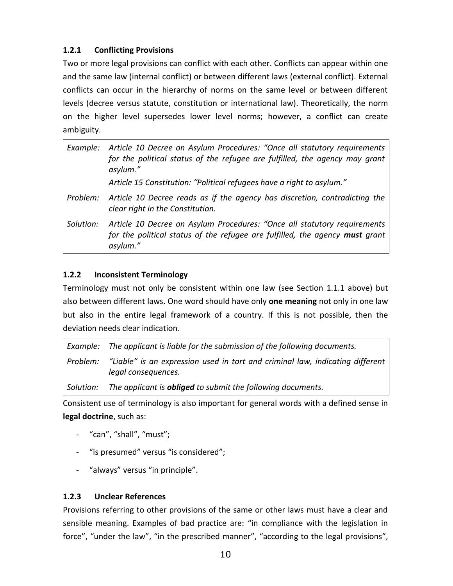## <span id="page-9-0"></span>**1.2.1 Conflicting Provisions**

Two or more legal provisions can conflict with each other. Conflicts can appear within one and the same law (internal conflict) or between different laws (external conflict). External conflicts can occur in the hierarchy of norms on the same level or between different levels (decree versus statute, constitution or international law). Theoretically, the norm on the higher level supersedes lower level norms; however, a conflict can create ambiguity.

| Example:  | Article 10 Decree on Asylum Procedures: "Once all statutory requirements<br>for the political status of the refugee are fulfilled, the agency may grant<br>asylum."  |
|-----------|----------------------------------------------------------------------------------------------------------------------------------------------------------------------|
|           | Article 15 Constitution: "Political refugees have a right to asylum."                                                                                                |
| Problem:  | Article 10 Decree reads as if the agency has discretion, contradicting the<br>clear right in the Constitution.                                                       |
| Solution: | Article 10 Decree on Asylum Procedures: "Once all statutory requirements<br>for the political status of the refugee are fulfilled, the agency must grant<br>asylum." |

## **1.2.2 Inconsistent Terminology**

Terminology must not only be consistent within one law (see Section [1.1.1](#page-5-0) above) but also between different laws. One word should have only **one meaning** not only in one law but also in the entire legal framework of a country. If this is not possible, then the deviation needs clear indication.

|          | Example: The applicant is liable for the submission of the following documents.                      |
|----------|------------------------------------------------------------------------------------------------------|
| Problem: | "Liable" is an expression used in tort and criminal law, indicating different<br>legal consequences. |
|          | Solution: The applicant is <b>obliged</b> to submit the following documents.                         |

Consistent use of terminology is also important for general words with a defined sense in **legal doctrine**, such as:

- "can", "shall", "must";
- "is presumed" versus "is considered";
- "always" versus "in principle".

## **1.2.3 Unclear References**

Provisions referring to other provisions of the same or other laws must have a clear and sensible meaning. Examples of bad practice are: "in compliance with the legislation in force", "under the law", "in the prescribed manner", "according to the legal provisions",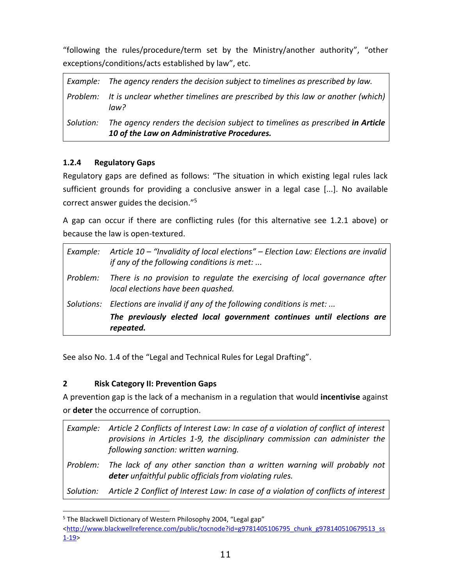"following the rules/procedure/term set by the Ministry/another authority", "other exceptions/conditions/acts established by law", etc.

|           | Example: The agency renders the decision subject to timelines as prescribed by law.                                          |
|-----------|------------------------------------------------------------------------------------------------------------------------------|
|           | Problem: It is unclear whether timelines are prescribed by this law or another (which)<br>law?                               |
| Solution: | The agency renders the decision subject to timelines as prescribed in Article<br>10 of the Law on Administrative Procedures. |

## **1.2.4 Regulatory Gaps**

Regulatory gaps are defined as follows: "The situation in which existing legal rules lack sufficient grounds for providing a conclusive answer in a legal case [...]. No available correct answer guides the decision."<sup>5</sup>

A gap can occur if there are conflicting rules (for this alternative see [1.2.1](#page-9-0) above) or because the law is open-textured.

| Example: | Article 10 – "Invalidity of local elections" – Election Law: Elections are invalid<br>if any of the following conditions is met:                                  |
|----------|-------------------------------------------------------------------------------------------------------------------------------------------------------------------|
| Problem: | There is no provision to regulate the exercising of local governance after<br>local elections have been quashed.                                                  |
|          | Solutions: Elections are invalid if any of the following conditions is met:<br>The previously elected local government continues until elections are<br>repeated. |

See also No. 1.4 of the "Legal and Technical Rules for Legal Drafting".

## <span id="page-10-0"></span>**2 Risk Category II: Prevention Gaps**

A prevention gap is the lack of a mechanism in a regulation that would **incentivise** against or **deter** the occurrence of corruption.

|           | Example: Article 2 Conflicts of Interest Law: In case of a violation of conflict of interest<br>provisions in Articles 1-9, the disciplinary commission can administer the<br>following sanction: written warning. |
|-----------|--------------------------------------------------------------------------------------------------------------------------------------------------------------------------------------------------------------------|
| Problem:  | The lack of any other sanction than a written warning will probably not<br>deter unfaithful public officials from violating rules.                                                                                 |
| Solution: | Article 2 Conflict of Interest Law: In case of a violation of conflicts of interest                                                                                                                                |

ı <sup>5</sup> The Blackwell Dictionary of Western Philosophy 2004, "Legal gap"

[<sup>&</sup>lt;http://www.blackwellreference.com/public/tocnode?id=g9781405106795\\_chunk\\_g978140510679513\\_ss](http://www.blackwellreference.com/public/tocnode?id=g9781405106795_chunk_g978140510679513_ss1-19) [1-19>](http://www.blackwellreference.com/public/tocnode?id=g9781405106795_chunk_g978140510679513_ss1-19)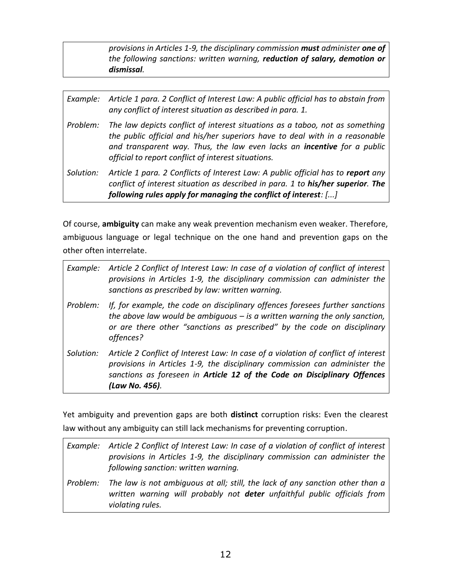*provisions in Articles 1-9, the disciplinary commission must administer one of the following sanctions: written warning, reduction of salary, demotion or dismissal.*

| Example:  | Article 1 para. 2 Conflict of Interest Law: A public official has to abstain from<br>any conflict of interest situation as described in para. 1.                                                                                                                                              |
|-----------|-----------------------------------------------------------------------------------------------------------------------------------------------------------------------------------------------------------------------------------------------------------------------------------------------|
| Problem:  | The law depicts conflict of interest situations as a taboo, not as something<br>the public official and his/her superiors have to deal with in a reasonable<br>and transparent way. Thus, the law even lacks an incentive for a public<br>official to report conflict of interest situations. |
| Solution: | Article 1 para. 2 Conflicts of Interest Law: A public official has to report any<br>conflict of interest situation as described in para. 1 to his/her superior. The<br>following rules apply for managing the conflict of interest: []                                                        |

Of course, **ambiguity** can make any weak prevention mechanism even weaker. Therefore, ambiguous language or legal technique on the one hand and prevention gaps on the other often interrelate.

| Example:  | Article 2 Conflict of Interest Law: In case of a violation of conflict of interest<br>provisions in Articles 1-9, the disciplinary commission can administer the<br>sanctions as prescribed by law: written warning.                                           |
|-----------|----------------------------------------------------------------------------------------------------------------------------------------------------------------------------------------------------------------------------------------------------------------|
| Problem:  | If, for example, the code on disciplinary offences foresees further sanctions<br>the above law would be ambiguous $-$ is a written warning the only sanction,<br>or are there other "sanctions as prescribed" by the code on disciplinary<br>offences?         |
| Solution: | Article 2 Conflict of Interest Law: In case of a violation of conflict of interest<br>provisions in Articles 1-9, the disciplinary commission can administer the<br>sanctions as foreseen in Article 12 of the Code on Disciplinary Offences<br>(Law No. 456). |

Yet ambiguity and prevention gaps are both **distinct** corruption risks: Even the clearest law without any ambiguity can still lack mechanisms for preventing corruption.

|          | Example: Article 2 Conflict of Interest Law: In case of a violation of conflict of interest<br>provisions in Articles 1-9, the disciplinary commission can administer the<br>following sanction: written warning. |
|----------|-------------------------------------------------------------------------------------------------------------------------------------------------------------------------------------------------------------------|
| Problem: | The law is not ambiguous at all; still, the lack of any sanction other than a<br>written warning will probably not <b>deter</b> unfaithful public officials from<br>violating rules.                              |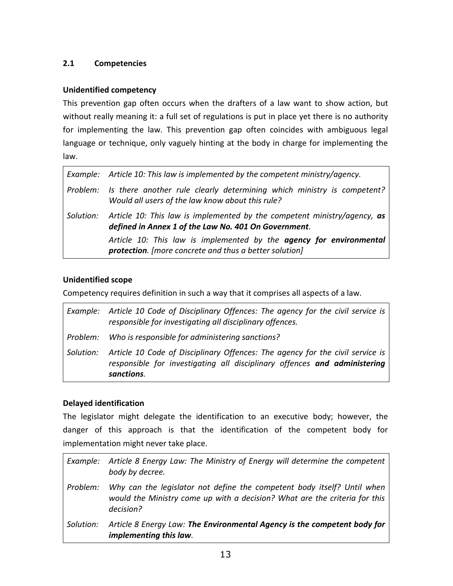## **2.1 Competencies**

#### **Unidentified competency**

This prevention gap often occurs when the drafters of a law want to show action, but without really meaning it: a full set of regulations is put in place yet there is no authority for implementing the law. This prevention gap often coincides with ambiguous legal language or technique, only vaguely hinting at the body in charge for implementing the law.

| Example: Article 10: This law is implemented by the competent ministry/agency.                                                             |
|--------------------------------------------------------------------------------------------------------------------------------------------|
| Problem: Is there another rule clearly determining which ministry is competent?<br>Would all users of the law know about this rule?        |
| Solution: Article 10: This law is implemented by the competent ministry/agency, as<br>defined in Annex 1 of the Law No. 401 On Government. |
| Article 10: This law is implemented by the agency for environmental<br>protection. [more concrete and thus a better solution]              |

#### **Unidentified scope**

Competency requires definition in such a way that it comprises all aspects of a law.

|          | Example: Article 10 Code of Disciplinary Offences: The agency for the civil service is<br>responsible for investigating all disciplinary offences.                                 |
|----------|------------------------------------------------------------------------------------------------------------------------------------------------------------------------------------|
| Problem: | Who is responsible for administering sanctions?                                                                                                                                    |
|          | Solution: Article 10 Code of Disciplinary Offences: The agency for the civil service is<br>responsible for investigating all disciplinary offences and administering<br>sanctions. |

## **Delayed identification**

The legislator might delegate the identification to an executive body; however, the danger of this approach is that the identification of the competent body for implementation might never take place.

*Example: Article 8 Energy Law: The Ministry of Energy will determine the competent body by decree. Problem: Why can the legislator not define the competent body itself? Until when would the Ministry come up with a decision? What are the criteria for this decision? Solution: Article 8 Energy Law: The Environmental Agency is the competent body for implementing this law.*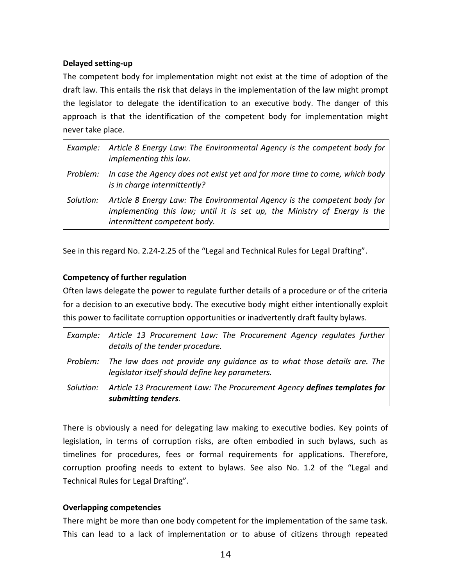#### **Delayed setting-up**

The competent body for implementation might not exist at the time of adoption of the draft law. This entails the risk that delays in the implementation of the law might prompt the legislator to delegate the identification to an executive body. The danger of this approach is that the identification of the competent body for implementation might never take place.

|           | Example: Article 8 Energy Law: The Environmental Agency is the competent body for<br>implementing this law.                                                                          |
|-----------|--------------------------------------------------------------------------------------------------------------------------------------------------------------------------------------|
| Problem:  | In case the Agency does not exist yet and for more time to come, which body<br>is in charge intermittently?                                                                          |
| Solution: | Article 8 Energy Law: The Environmental Agency is the competent body for<br>implementing this law; until it is set up, the Ministry of Energy is the<br>intermittent competent body. |

See in this regard No. 2.24-2.25 of the "Legal and Technical Rules for Legal Drafting".

#### **Competency of further regulation**

Often laws delegate the power to regulate further details of a procedure or of the criteria for a decision to an executive body. The executive body might either intentionally exploit this power to facilitate corruption opportunities or inadvertently draft faulty bylaws.

|           | Example: Article 13 Procurement Law: The Procurement Agency regulates further<br>details of the tender procedure.          |
|-----------|----------------------------------------------------------------------------------------------------------------------------|
| Problem:  | The law does not provide any quidance as to what those details are. The<br>legislator itself should define key parameters. |
| Solution: | Article 13 Procurement Law: The Procurement Agency defines templates for<br>submitting tenders.                            |

There is obviously a need for delegating law making to executive bodies. Key points of legislation, in terms of corruption risks, are often embodied in such bylaws, such as timelines for procedures, fees or formal requirements for applications. Therefore, corruption proofing needs to extent to bylaws. See also No. 1.2 of the "Legal and Technical Rules for Legal Drafting".

#### **Overlapping competencies**

There might be more than one body competent for the implementation of the same task. This can lead to a lack of implementation or to abuse of citizens through repeated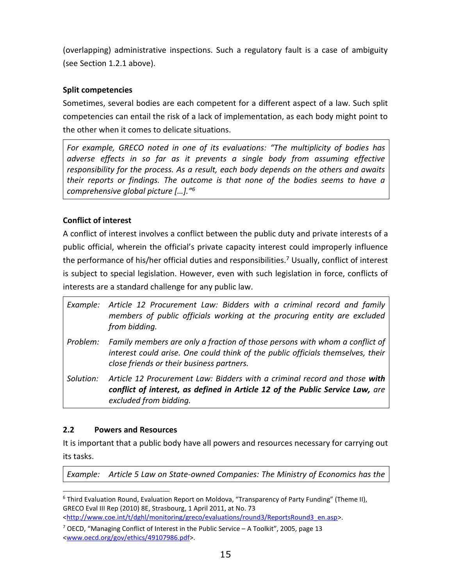(overlapping) administrative inspections. Such a regulatory fault is a case of ambiguity (see Sectio[n 1.2.1](#page-9-0) above).

## **Split competencies**

Sometimes, several bodies are each competent for a different aspect of a law. Such split competencies can entail the risk of a lack of implementation, as each body might point to the other when it comes to delicate situations.

*For example, GRECO noted in one of its evaluations: "The multiplicity of bodies has*  adverse effects in so far as it prevents a single body from assuming effective *responsibility for the process. As a result, each body depends on the others and awaits their reports or findings. The outcome is that none of the bodies seems to have a comprehensive global picture […]."<sup>6</sup>*

## **Conflict of interest**

A conflict of interest involves a conflict between the public duty and private interests of a public official, wherein the official's private capacity interest could improperly influence the performance of his/her official duties and responsibilities.<sup>7</sup> Usually, conflict of interest is subject to special legislation. However, even with such legislation in force, conflicts of interests are a standard challenge for any public law.

| Example:  | Article 12 Procurement Law: Bidders with a criminal record and family<br>members of public officials working at the procuring entity are excluded<br>from bidding.                                          |
|-----------|-------------------------------------------------------------------------------------------------------------------------------------------------------------------------------------------------------------|
| Problem:  | Family members are only a fraction of those persons with whom a conflict of<br>interest could arise. One could think of the public officials themselves, their<br>close friends or their business partners. |
| Solution: | Article 12 Procurement Law: Bidders with a criminal record and those with<br>conflict of interest, as defined in Article 12 of the Public Service Law, are<br>excluded from bidding.                        |

## **2.2 Powers and Resources**

ı

It is important that a public body have all powers and resources necessary for carrying out its tasks.

*Example: Article 5 Law on State-owned Companies: The Ministry of Economics has the* 

<sup>&</sup>lt;sup>6</sup> Third Evaluation Round, Evaluation Report on Moldova, "Transparency of Party Funding" (Theme II), GRECO Eval III Rep (2010) 8E, Strasbourg, 1 April 2011, at No. 73 [<http://www.coe.int/t/dghl/monitoring/greco/evaluations/round3/ReportsRound3\\_en.asp>](http://www.coe.int/t/dghl/monitoring/greco/evaluations/round3/ReportsRound3_en.asp).

 $7$  OECD, "Managing Conflict of Interest in the Public Service - A Toolkit", 2005, page 13 [<www.oecd.org/gov/ethics/49107986.pdf>](http://www.oecd.org/gov/ethics/49107986.pdf).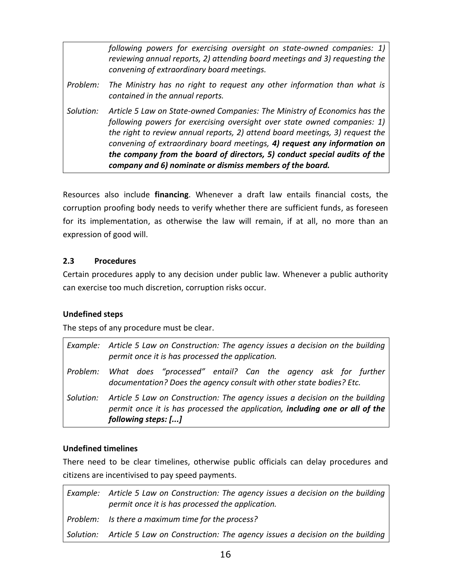*following powers for exercising oversight on state-owned companies: 1) reviewing annual reports, 2) attending board meetings and 3) requesting the convening of extraordinary board meetings. Problem: The Ministry has no right to request any other information than what is contained in the annual reports. Solution: Article 5 Law on State-owned Companies: The Ministry of Economics has the following powers for exercising oversight over state owned companies: 1) the right to review annual reports, 2) attend board meetings, 3) request the convening of extraordinary board meetings, 4) request any information on the company from the board of directors, 5) conduct special audits of the company and 6) nominate or dismiss members of the board.*

Resources also include **financing**. Whenever a draft law entails financial costs, the corruption proofing body needs to verify whether there are sufficient funds, as foreseen for its implementation, as otherwise the law will remain, if at all, no more than an expression of good will.

## **2.3 Procedures**

Certain procedures apply to any decision under public law. Whenever a public authority can exercise too much discretion, corruption risks occur.

## **Undefined steps**

The steps of any procedure must be clear.

|           | Example: Article 5 Law on Construction: The agency issues a decision on the building<br>permit once it is has processed the application.                                           |
|-----------|------------------------------------------------------------------------------------------------------------------------------------------------------------------------------------|
|           | Problem: What does "processed" entail? Can the agency ask for further<br>documentation? Does the agency consult with other state bodies? Etc.                                      |
| Solution: | Article 5 Law on Construction: The agency issues a decision on the building<br>permit once it is has processed the application, including one or all of the<br>following steps: [] |

## **Undefined timelines**

There need to be clear timelines, otherwise public officials can delay procedures and citizens are incentivised to pay speed payments.

*Example: Article 5 Law on Construction: The agency issues a decision on the building permit once it is has processed the application. Problem: Is there a maximum time for the process? Solution: Article 5 Law on Construction: The agency issues a decision on the building*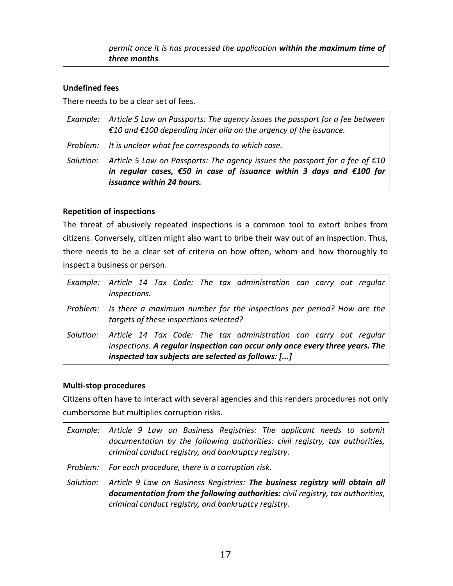| permit once it is has processed the application within the maximum time of |  |
|----------------------------------------------------------------------------|--|
| three months.                                                              |  |

#### **Undefined fees**

There needs to be a clear set of fees.

|           | Example: Article 5 Law on Passports: The agency issues the passport for a fee between<br>€10 and €100 depending inter alia on the urgency of the issuance.                                                            |
|-----------|-----------------------------------------------------------------------------------------------------------------------------------------------------------------------------------------------------------------------|
|           | Problem: It is unclear what fee corresponds to which case.                                                                                                                                                            |
| Solution: | Article 5 Law on Passports: The agency issues the passport for a fee of $\epsilon$ 10<br>in regular cases, $\epsilon$ 50 in case of issuance within 3 days and $\epsilon$ 100 for<br><i>issuance within 24 hours.</i> |

#### **Repetition of inspections**

The threat of abusively repeated inspections is a common tool to extort bribes from citizens. Conversely, citizen might also want to bribe their way out of an inspection. Thus, there needs to be a clear set of criteria on how often, whom and how thoroughly to inspect a business or person.

|           | Example: Article 14 Tax Code: The tax administration can carry out regular<br>inspections.                                                                                                              |
|-----------|---------------------------------------------------------------------------------------------------------------------------------------------------------------------------------------------------------|
|           | Problem: Is there a maximum number for the inspections per period? How are the<br>targets of these inspections selected?                                                                                |
| Solution: | Article 14 Tax Code: The tax administration can carry out regular<br>inspections. A regular inspection can occur only once every three years. The<br>inspected tax subjects are selected as follows: [] |

#### **Multi-stop procedures**

Citizens often have to interact with several agencies and this renders procedures not only cumbersome but multiplies corruption risks.

| Example: Article 9 Law on Business Registries: The applicant needs to submit<br>documentation by the following authorities: civil registry, tax authorities,<br>criminal conduct registry, and bankruptcy registry.            |
|--------------------------------------------------------------------------------------------------------------------------------------------------------------------------------------------------------------------------------|
| Problem: For each procedure, there is a corruption risk.                                                                                                                                                                       |
| Solution: Article 9 Law on Business Registries: The business registry will obtain all<br>documentation from the following authorities: civil registry, tax authorities,<br>criminal conduct registry, and bankruptcy registry. |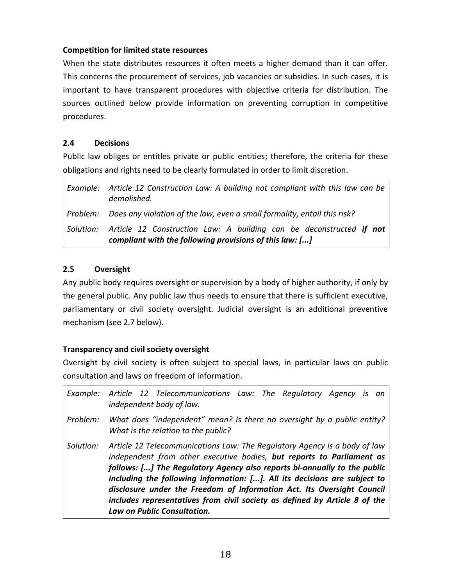#### **Competition for limited state resources**

When the state distributes resources it often meets a higher demand than it can offer. This concerns the procurement of services, job vacancies or subsidies. In such cases, it is important to have transparent procedures with objective criteria for distribution. The sources outlined below provide information on preventing corruption in competitive procedures.

#### **2.4 Decisions**

Public law obliges or entitles private or public entities; therefore, the criteria for these obligations and rights need to be clearly formulated in order to limit discretion.

| Example: Article 12 Construction Law: A building not compliant with this law can be<br>demolished.                                       |
|------------------------------------------------------------------------------------------------------------------------------------------|
| Problem: Does any violation of the law, even a small formality, entail this risk?                                                        |
| Solution: Article 12 Construction Law: A building can be deconstructed if not<br>compliant with the following provisions of this law: [] |

## **2.5 Oversight**

Any public body requires oversight or supervision by a body of higher authority, if only by the general public. Any public law thus needs to ensure that there is sufficient executive, parliamentary or civil society oversight. Judicial oversight is an additional preventive mechanism (see [2.7](#page-19-0) below).

## **Transparency and civil society oversight**

Oversight by civil society is often subject to special laws, in particular laws on public consultation and laws on freedom of information.

| Example:  | Article 12 Telecommunications Law: The Regulatory Agency is an<br>independent body of law.                                                                                                                                                                                                                                                                                                                                                                                                         |
|-----------|----------------------------------------------------------------------------------------------------------------------------------------------------------------------------------------------------------------------------------------------------------------------------------------------------------------------------------------------------------------------------------------------------------------------------------------------------------------------------------------------------|
| Problem:  | What does "independent" mean? Is there no oversight by a public entity?<br>What is the relation to the public?                                                                                                                                                                                                                                                                                                                                                                                     |
| Solution: | Article 12 Telecommunications Law: The Regulatory Agency is a body of law<br>independent from other executive bodies, but reports to Parliament as<br>follows: [] The Regulatory Agency also reports bi-annually to the public<br>including the following information: []. All its decisions are subject to<br>disclosure under the Freedom of Information Act. Its Oversight Council<br>includes representatives from civil society as defined by Article 8 of the<br>Law on Public Consultation. |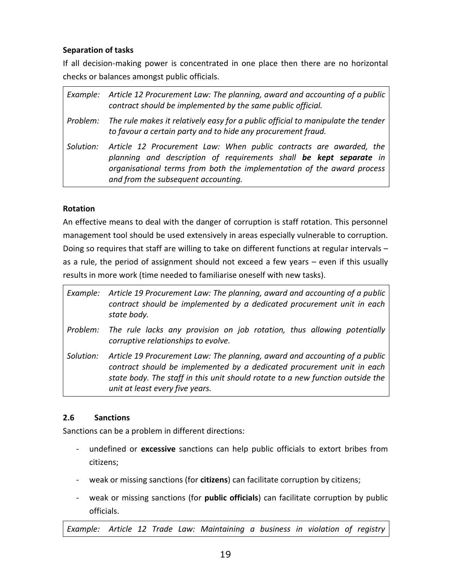## **Separation of tasks**

If all decision-making power is concentrated in one place then there are no horizontal checks or balances amongst public officials.

|           | Example: Article 12 Procurement Law: The planning, award and accounting of a public<br>contract should be implemented by the same public official.                                                                                                        |
|-----------|-----------------------------------------------------------------------------------------------------------------------------------------------------------------------------------------------------------------------------------------------------------|
|           | Problem: The rule makes it relatively easy for a public official to manipulate the tender<br>to favour a certain party and to hide any procurement fraud.                                                                                                 |
| Solution: | Article 12 Procurement Law: When public contracts are awarded, the<br>planning and description of requirements shall be kept separate in<br>organisational terms from both the implementation of the award process<br>and from the subsequent accounting. |

## **Rotation**

An effective means to deal with the danger of corruption is staff rotation. This personnel management tool should be used extensively in areas especially vulnerable to corruption. Doing so requires that staff are willing to take on different functions at regular intervals – as a rule, the period of assignment should not exceed a few years – even if this usually results in more work (time needed to familiarise oneself with new tasks).

| Example:  | Article 19 Procurement Law: The planning, award and accounting of a public<br>contract should be implemented by a dedicated procurement unit in each<br>state body.                                                                                                       |
|-----------|---------------------------------------------------------------------------------------------------------------------------------------------------------------------------------------------------------------------------------------------------------------------------|
| Problem:  | The rule lacks any provision on job rotation, thus allowing potentially<br>corruptive relationships to evolve.                                                                                                                                                            |
| Solution: | Article 19 Procurement Law: The planning, award and accounting of a public<br>contract should be implemented by a dedicated procurement unit in each<br>state body. The staff in this unit should rotate to a new function outside the<br>unit at least every five years. |

## **2.6 Sanctions**

Sanctions can be a problem in different directions:

- undefined or **excessive** sanctions can help public officials to extort bribes from citizens;
- weak or missing sanctions (for **citizens**) can facilitate corruption by citizens;
- weak or missing sanctions (for **public officials**) can facilitate corruption by public officials.

*Example: Article 12 Trade Law: Maintaining a business in violation of registry*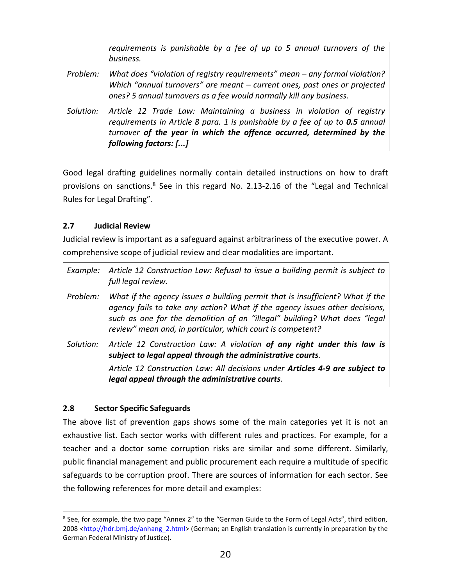|           | requirements is punishable by a fee of up to 5 annual turnovers of the<br>business.                                                                                                                                                                     |
|-----------|---------------------------------------------------------------------------------------------------------------------------------------------------------------------------------------------------------------------------------------------------------|
| Problem:  | What does "violation of registry requirements" mean – any formal violation?<br>Which "annual turnovers" are meant $-$ current ones, past ones or projected<br>ones? 5 annual turnovers as a fee would normally kill any business.                       |
| Solution: | Article 12 Trade Law: Maintaining a business in violation of registry<br>requirements in Article 8 para. 1 is punishable by a fee of up to 0.5 annual<br>turnover of the year in which the offence occurred, determined by the<br>following factors: [] |

Good legal drafting guidelines normally contain detailed instructions on how to draft provisions on sanctions.<sup>8</sup> See in this regard No. 2.13-2.16 of the "Legal and Technical Rules for Legal Drafting".

#### <span id="page-19-0"></span>**2.7 Judicial Review**

Judicial review is important as a safeguard against arbitrariness of the executive power. A comprehensive scope of judicial review and clear modalities are important.

| Example:  | Article 12 Construction Law: Refusal to issue a building permit is subject to<br>full legal review.                                                                                                                                                                                                     |
|-----------|---------------------------------------------------------------------------------------------------------------------------------------------------------------------------------------------------------------------------------------------------------------------------------------------------------|
| Problem:  | What if the agency issues a building permit that is insufficient? What if the<br>agency fails to take any action? What if the agency issues other decisions,<br>such as one for the demolition of an "illegal" building? What does "legal<br>review" mean and, in particular, which court is competent? |
| Solution: | Article 12 Construction Law: A violation of any right under this law is<br>subject to legal appeal through the administrative courts.                                                                                                                                                                   |
|           | Article 12 Construction Law: All decisions under Articles 4-9 are subject to<br>legal appeal through the administrative courts.                                                                                                                                                                         |

## **2.8 Sector Specific Safeguards**

ı

The above list of prevention gaps shows some of the main categories yet it is not an exhaustive list. Each sector works with different rules and practices. For example, for a teacher and a doctor some corruption risks are similar and some different. Similarly, public financial management and public procurement each require a multitude of specific safeguards to be corruption proof. There are sources of information for each sector. See the following references for more detail and examples:

<sup>&</sup>lt;sup>8</sup> See, for example, the two page "Annex 2" to the "German Guide to the Form of Legal Acts", third edition, 2008 [<http://hdr.bmj.de/anhang\\_2.html>](http://hdr.bmj.de/anhang_2.html) (German; an English translation is currently in preparation by the German Federal Ministry of Justice).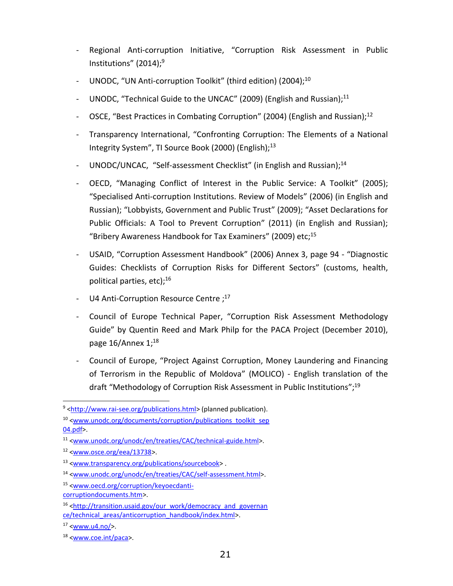- Regional Anti-corruption Initiative, "Corruption Risk Assessment in Public Institutions" (2014); 9
- UNODC, "UN Anti-corruption Toolkit" (third edition) (2004);<sup>10</sup>
- UNODC, "Technical Guide to the UNCAC" (2009) (English and Russian);<sup>11</sup>
- OSCE, "Best Practices in Combating Corruption" (2004) (English and Russian);<sup>12</sup>
- Transparency International, "Confronting Corruption: The Elements of a National Integrity System", TI Source Book (2000) (English); 13
- UNODC/UNCAC, "Self-assessment Checklist" (in English and Russian);<sup>14</sup>
- OECD, "Managing Conflict of Interest in the Public Service: A Toolkit" (2005); "Specialised Anti-corruption Institutions. Review of Models" (2006) (in English and Russian); "Lobbyists, Government and Public Trust" (2009); "Asset Declarations for Public Officials: A Tool to Prevent Corruption" (2011) (in English and Russian); "Bribery Awareness Handbook for Tax Examiners" (2009) etc; 15
- USAID, "Corruption Assessment Handbook" (2006) Annex 3, page 94 "Diagnostic Guides: Checklists of Corruption Risks for Different Sectors" (customs, health, political parties, etc); 16
- U4 Anti-Corruption Resource Centre;<sup>17</sup>
- Council of Europe Technical Paper, "Corruption Risk Assessment Methodology Guide" by Quentin Reed and Mark Philp for the PACA Project (December 2010), page 16/Annex 1;<sup>18</sup>
- Council of Europe, "Project Against Corruption, Money Laundering and Financing of Terrorism in the Republic of Moldova" (MOLICO) - English translation of the draft "Methodology of Corruption Risk Assessment in Public Institutions";<sup>19</sup>

ı

<sup>&</sup>lt;sup>9</sup> [<http://www.rai-see.org/publications.html>](http://www.rai-see.org/publications.html) (planned publication).

<sup>&</sup>lt;sup>10</sup> [<www.unodc.org/documents/corruption/publications\\_toolkit\\_sep](http://www.unodc.org/documents/corruption/publications_toolkit_sep04.pdf) [04.pdf>](http://www.unodc.org/documents/corruption/publications_toolkit_sep04.pdf).

<sup>11</sup> [<www.unodc.org/unodc/en/treaties/CAC/technical-guide.html>](http://www.unodc.org/unodc/en/treaties/CAC/technical-guide.html).

 $12$  [<www.osce.org/eea/13738>](http://www.osce.org/eea/13738).

<sup>13</sup> [<www.transparency.org/publications/sourcebook>](http://www.transparency.org/publications/sourcebook) .

<sup>14</sup> [<www.unodc.org/unodc/en/treaties/CAC/self-assessment.html>](http://www.unodc.org/unodc/en/treaties/CAC/self-assessment.html).

<sup>15</sup> [<www.oecd.org/corruption/keyoecdanti-](file:///C:/Users/Administrator/AppData/Local/Microsoft/Windows/AppData/Local/Microsoft/Windows/Administrator/AppData/Local/Microsoft/Windows/Temporary%20Internet%20Files/Content.Outlook/SPBC331T/www.oecd.org/corruption/keyoecdanti-corruptiondocuments.htm)

[corruptiondocuments.htm>](file:///C:/Users/Administrator/AppData/Local/Microsoft/Windows/AppData/Local/Microsoft/Windows/Administrator/AppData/Local/Microsoft/Windows/Temporary%20Internet%20Files/Content.Outlook/SPBC331T/www.oecd.org/corruption/keyoecdanti-corruptiondocuments.htm).

<sup>16</sup> [<http://transition.usaid.gov/our\\_work/democracy\\_and\\_governan](http://transition.usaid.gov/our_work/democracy_and_governance/technical_areas/anticorruption_handbook/index.html) [ce/technical\\_areas/anticorruption\\_handbook/index.html>](http://transition.usaid.gov/our_work/democracy_and_governance/technical_areas/anticorruption_handbook/index.html).

 $17$  [<www.u4.no/>](http://www.u4.no/).

<sup>18</sup> [<www.coe.int/paca>](http://www.coe.int/paca).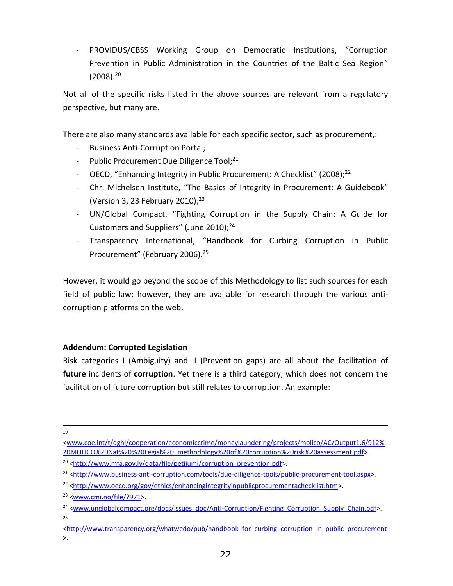- PROVIDUS/CBSS Working Group on Democratic Institutions, "Corruption Prevention in Public Administration in the Countries of the Baltic Sea Region" (2008). 20

Not all of the specific risks listed in the above sources are relevant from a regulatory perspective, but many are.

There are also many standards available for each specific sector, such as procurement,:

- Business Anti-Corruption Portal;
- Public Procurement Due Diligence Tool;<sup>21</sup>
- OECD, "Enhancing Integrity in Public Procurement: A Checklist" (2008);<sup>22</sup>
- Chr. Michelsen Institute, "The Basics of Integrity in Procurement: A Guidebook" (Version 3, 23 February 2010); 23
- UN/Global Compact, "Fighting Corruption in the Supply Chain: A Guide for Customers and Suppliers" (June 2010);<sup>24</sup>
- Transparency International, "Handbook for Curbing Corruption in Public Procurement" (February 2006). 25

However, it would go beyond the scope of this Methodology to list such sources for each field of public law; however, they are available for research through the various anticorruption platforms on the web.

#### <span id="page-21-0"></span>**Addendum: Corrupted Legislation**

Risk categories I (Ambiguity) and II (Prevention gaps) are all about the facilitation of **future** incidents of **corruption**. Yet there is a third category, which does not concern the facilitation of future corruption but still relates to corruption. An example:

ı 19

[<sup>&</sup>lt;www.coe.int/t/dghl/cooperation/economiccrime/moneylaundering/projects/molico/AC/Output1.6/912%](http://www.coe.int/t/dghl/cooperation/economiccrime/moneylaundering/projects/molico/AC/Output1.6/912%20MOLICO%20Nat%20%20Legisl%20_methodology%20of%20corruption%20risk%20assessment.pdf) [20MOLICO%20Nat%20%20Legisl%20\\_methodology%20of%20corruption%20risk%20assessment.pdf>](http://www.coe.int/t/dghl/cooperation/economiccrime/moneylaundering/projects/molico/AC/Output1.6/912%20MOLICO%20Nat%20%20Legisl%20_methodology%20of%20corruption%20risk%20assessment.pdf).

<sup>&</sup>lt;sup>20</sup> [<http://www.mfa.gov.lv/data/file/petijumi/corruption\\_prevention.pdf>](http://www.mfa.gov.lv/data/file/petijumi/corruption_prevention.pdf).

<sup>&</sup>lt;sup>21</sup> [<http://www.business-anti-corruption.com/tools/due-diligence-tools/public-procurement-tool.aspx>](http://www.business-anti-corruption.com/tools/due-diligence-tools/public-procurement-tool.aspx).

<sup>&</sup>lt;sup>22</sup> [<http://www.oecd.org/gov/ethics/enhancingintegrityinpublicprocurementachecklist.htm>](http://www.oecd.org/gov/ethics/enhancingintegrityinpublicprocurementachecklist.htm).

<sup>23</sup> [<www.cmi.no/file/?971>](http://www.cmi.no/file/?971).

<sup>&</sup>lt;sup>24</sup> [<www.unglobalcompact.org/docs/issues\\_doc/Anti-Corruption/Fighting\\_Corruption\\_Supply\\_Chain.pdf>](http://www.unglobalcompact.org/docs/issues_doc/Anti-Corruption/Fighting_Corruption_Supply_Chain.pdf). 25

<sup>&</sup>lt;http://www.transparency.org/whatwedo/pub/handbook for curbing corruption in public procurement  $\geq$ .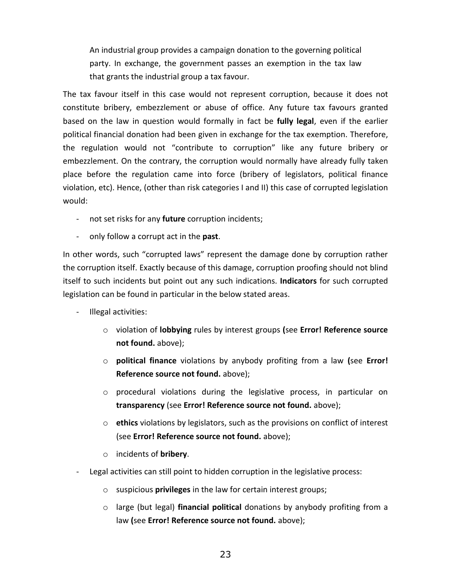An industrial group provides a campaign donation to the governing political party. In exchange, the government passes an exemption in the tax law that grants the industrial group a tax favour.

The tax favour itself in this case would not represent corruption, because it does not constitute bribery, embezzlement or abuse of office. Any future tax favours granted based on the law in question would formally in fact be **fully legal**, even if the earlier political financial donation had been given in exchange for the tax exemption. Therefore, the regulation would not "contribute to corruption" like any future bribery or embezzlement. On the contrary, the corruption would normally have already fully taken place before the regulation came into force (bribery of legislators, political finance violation, etc). Hence, (other than risk categories I and II) this case of corrupted legislation would:

- not set risks for any **future** corruption incidents;
- only follow a corrupt act in the **past**.

In other words, such "corrupted laws" represent the damage done by corruption rather the corruption itself. Exactly because of this damage, corruption proofing should not blind itself to such incidents but point out any such indications. **Indicators** for such corrupted legislation can be found in particular in the below stated areas.

- Illegal activities:
	- o violation of **lobbying** rules by interest groups **(**see **Error! Reference source not found.** above);
	- o **political finance** violations by anybody profiting from a law **(**see **Error! Reference source not found.** above);
	- $\circ$  procedural violations during the legislative process, in particular on **transparency** (see **Error! Reference source not found.** above);
	- o **ethics** violations by legislators, such as the provisions on conflict of interest (see **Error! Reference source not found.** above);
	- o incidents of **bribery**.
- Legal activities can still point to hidden corruption in the legislative process:
	- o suspicious **privileges** in the law for certain interest groups;
	- o large (but legal) **financial political** donations by anybody profiting from a law **(**see **Error! Reference source not found.** above);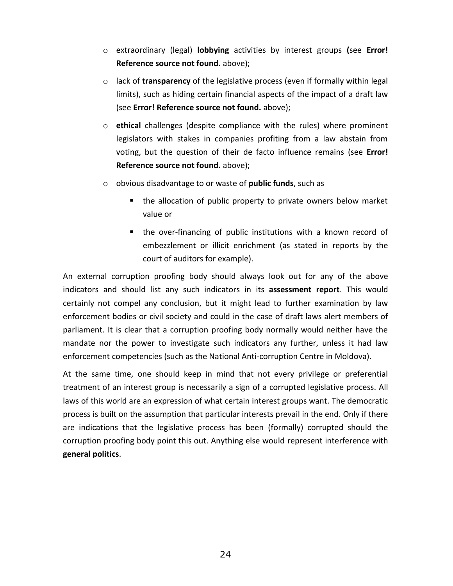- o extraordinary (legal) **lobbying** activities by interest groups **(**see **Error! Reference source not found.** above);
- o lack of **transparency** of the legislative process (even if formally within legal limits), such as hiding certain financial aspects of the impact of a draft law (see **Error! Reference source not found.** above);
- o **ethical** challenges (despite compliance with the rules) where prominent legislators with stakes in companies profiting from a law abstain from voting, but the question of their de facto influence remains (see **Error! Reference source not found.** above);
- o obvious disadvantage to or waste of **public funds**, such as
	- the allocation of public property to private owners below market value or
	- the over-financing of public institutions with a known record of embezzlement or illicit enrichment (as stated in reports by the court of auditors for example).

An external corruption proofing body should always look out for any of the above indicators and should list any such indicators in its **assessment report**. This would certainly not compel any conclusion, but it might lead to further examination by law enforcement bodies or civil society and could in the case of draft laws alert members of parliament. It is clear that a corruption proofing body normally would neither have the mandate nor the power to investigate such indicators any further, unless it had law enforcement competencies (such as the National Anti-corruption Centre in Moldova).

At the same time, one should keep in mind that not every privilege or preferential treatment of an interest group is necessarily a sign of a corrupted legislative process. All laws of this world are an expression of what certain interest groups want. The democratic process is built on the assumption that particular interests prevail in the end. Only if there are indications that the legislative process has been (formally) corrupted should the corruption proofing body point this out. Anything else would represent interference with **general politics**.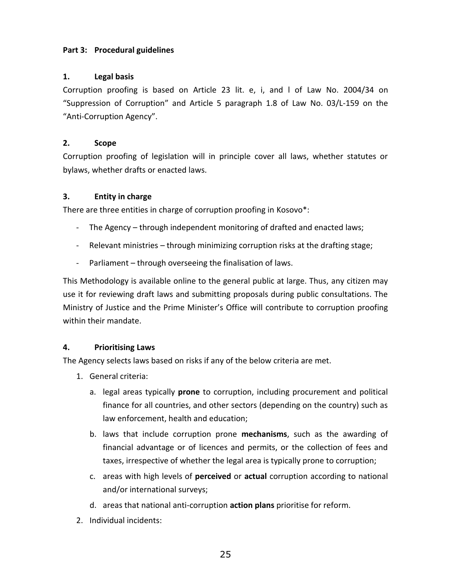#### **Part 3: Procedural guidelines**

#### **1. Legal basis**

Corruption proofing is based on Article 23 lit. e, i, and l of Law No. 2004/34 on "Suppression of Corruption" and Article 5 paragraph 1.8 of Law No. 03/L-159 on the "Anti-Corruption Agency".

#### **2. Scope**

Corruption proofing of legislation will in principle cover all laws, whether statutes or bylaws, whether drafts or enacted laws.

#### **3. Entity in charge**

There are three entities in charge of corruption proofing in Kosovo\*:

- The Agency through independent monitoring of drafted and enacted laws;
- Relevant ministries through minimizing corruption risks at the drafting stage;
- Parliament through overseeing the finalisation of laws.

This Methodology is available online to the general public at large. Thus, any citizen may use it for reviewing draft laws and submitting proposals during public consultations. The Ministry of Justice and the Prime Minister's Office will contribute to corruption proofing within their mandate.

## **4. Prioritising Laws**

The Agency selects laws based on risks if any of the below criteria are met.

- 1. General criteria:
	- a. legal areas typically **prone** to corruption, including procurement and political finance for all countries, and other sectors (depending on the country) such as law enforcement, health and education;
	- b. laws that include corruption prone **mechanisms**, such as the awarding of financial advantage or of licences and permits, or the collection of fees and taxes, irrespective of whether the legal area is typically prone to corruption;
	- c. areas with high levels of **perceived** or **actual** corruption according to national and/or international surveys;
	- d. areas that national anti-corruption **action plans** prioritise for reform.
- 2. Individual incidents: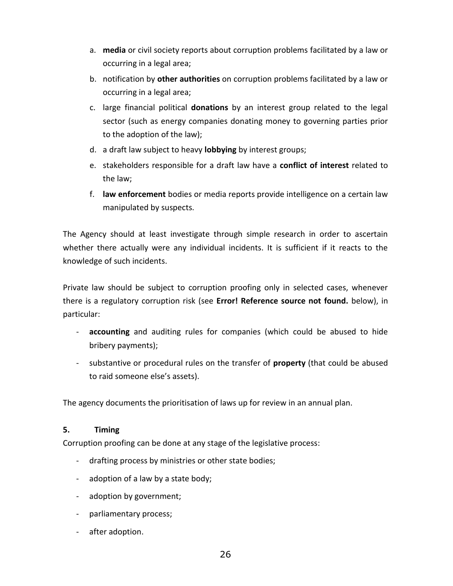- a. **media** or civil society reports about corruption problems facilitated by a law or occurring in a legal area;
- b. notification by **other authorities** on corruption problems facilitated by a law or occurring in a legal area;
- c. large financial political **donations** by an interest group related to the legal sector (such as energy companies donating money to governing parties prior to the adoption of the law);
- d. a draft law subject to heavy **lobbying** by interest groups;
- e. stakeholders responsible for a draft law have a **conflict of interest** related to the law;
- f. **law enforcement** bodies or media reports provide intelligence on a certain law manipulated by suspects.

The Agency should at least investigate through simple research in order to ascertain whether there actually were any individual incidents. It is sufficient if it reacts to the knowledge of such incidents.

Private law should be subject to corruption proofing only in selected cases, whenever there is a regulatory corruption risk (see **Error! Reference source not found.** below), in particular:

- **accounting** and auditing rules for companies (which could be abused to hide bribery payments);
- substantive or procedural rules on the transfer of **property** (that could be abused to raid someone else's assets).

The agency documents the prioritisation of laws up for review in an annual plan.

## **5. Timing**

Corruption proofing can be done at any stage of the legislative process:

- drafting process by ministries or other state bodies;
- adoption of a law by a state body;
- adoption by government;
- parliamentary process;
- after adoption.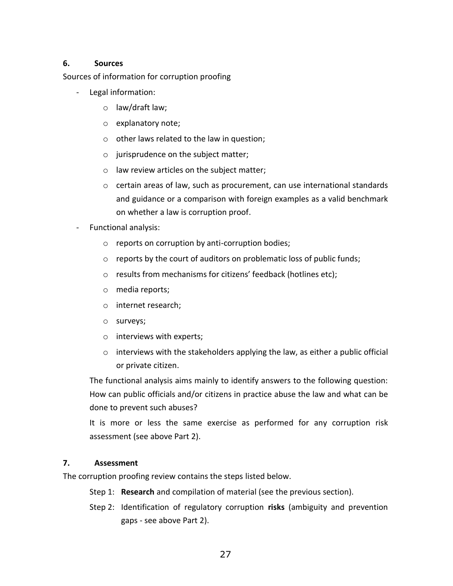#### **6. Sources**

Sources of information for corruption proofing

- Legal information:
	- o law/draft law;
	- o explanatory note;
	- o other laws related to the law in question;
	- o jurisprudence on the subject matter;
	- o law review articles on the subject matter;
	- $\circ$  certain areas of law, such as procurement, can use international standards and guidance or a comparison with foreign examples as a valid benchmark on whether a law is corruption proof.
- Functional analysis:
	- o reports on corruption by anti-corruption bodies;
	- o reports by the court of auditors on problematic loss of public funds;
	- o results from mechanisms for citizens' feedback (hotlines etc);
	- o media reports;
	- o internet research;
	- o surveys;
	- o interviews with experts;
	- $\circ$  interviews with the stakeholders applying the law, as either a public official or private citizen.

The functional analysis aims mainly to identify answers to the following question: How can public officials and/or citizens in practice abuse the law and what can be done to prevent such abuses?

It is more or less the same exercise as performed for any corruption risk assessment (see above Part 2).

## **7. Assessment**

The corruption proofing review contains the steps listed below.

Step 1: **Research** and compilation of material (see the previous section).

Step 2: Identification of regulatory corruption **risks** (ambiguity and prevention gaps - see above Part 2).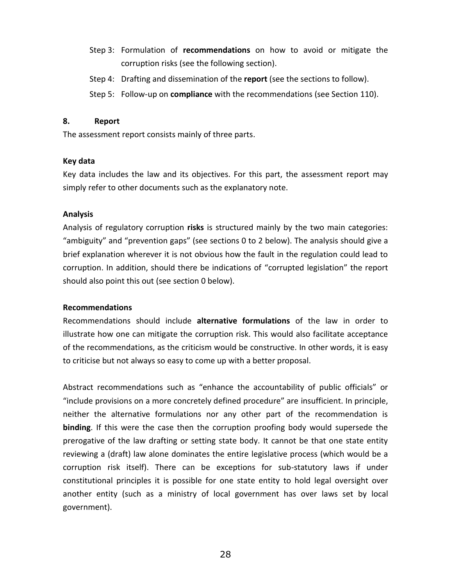- Step 3: Formulation of **recommendations** on how to avoid or mitigate the corruption risks (see the following section).
- Step 4: Drafting and dissemination of the **report** (see the sections to follow).
- Step 5: Follow-up on **compliance** with the recommendations (see Section [110\)](#page-28-0).

#### **8. Report**

The assessment report consists mainly of three parts.

#### **Key data**

Key data includes the law and its objectives. For this part, the assessment report may simply refer to other documents such as the explanatory note.

#### **Analysis**

Analysis of regulatory corruption **risks** is structured mainly by the two main categories: "ambiguity" and "prevention gaps" (see sections [0](#page-4-0) to [2](#page-10-0) below). The analysis should give a brief explanation wherever it is not obvious how the fault in the regulation could lead to corruption. In addition, should there be indications of "corrupted legislation" the report should also point this out (see section [0](#page-21-0) below).

#### **Recommendations**

Recommendations should include **alternative formulations** of the law in order to illustrate how one can mitigate the corruption risk. This would also facilitate acceptance of the recommendations, as the criticism would be constructive. In other words, it is easy to criticise but not always so easy to come up with a better proposal.

Abstract recommendations such as "enhance the accountability of public officials" or "include provisions on a more concretely defined procedure" are insufficient. In principle, neither the alternative formulations nor any other part of the recommendation is **binding**. If this were the case then the corruption proofing body would supersede the prerogative of the law drafting or setting state body. It cannot be that one state entity reviewing a (draft) law alone dominates the entire legislative process (which would be a corruption risk itself). There can be exceptions for sub-statutory laws if under constitutional principles it is possible for one state entity to hold legal oversight over another entity (such as a ministry of local government has over laws set by local government).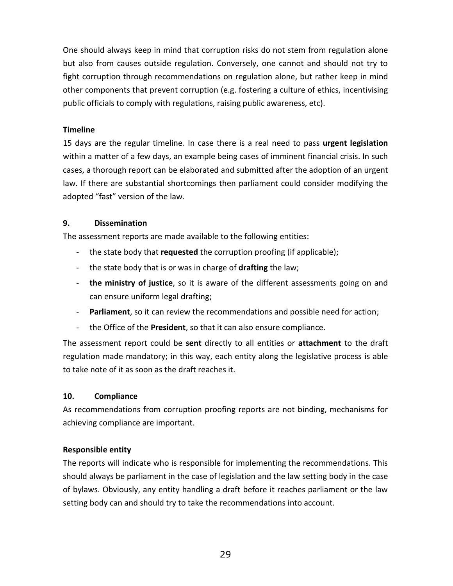One should always keep in mind that corruption risks do not stem from regulation alone but also from causes outside regulation. Conversely, one cannot and should not try to fight corruption through recommendations on regulation alone, but rather keep in mind other components that prevent corruption (e.g. fostering a culture of ethics, incentivising public officials to comply with regulations, raising public awareness, etc).

#### **Timeline**

15 days are the regular timeline. In case there is a real need to pass **urgent legislation**  within a matter of a few days, an example being cases of imminent financial crisis. In such cases, a thorough report can be elaborated and submitted after the adoption of an urgent law. If there are substantial shortcomings then parliament could consider modifying the adopted "fast" version of the law.

#### **9. Dissemination**

The assessment reports are made available to the following entities:

- the state body that **requested** the corruption proofing (if applicable);
- the state body that is or was in charge of **drafting** the law;
- **the ministry of justice**, so it is aware of the different assessments going on and can ensure uniform legal drafting;
- **Parliament**, so it can review the recommendations and possible need for action;
- the Office of the **President**, so that it can also ensure compliance.

The assessment report could be **sent** directly to all entities or **attachment** to the draft regulation made mandatory; in this way, each entity along the legislative process is able to take note of it as soon as the draft reaches it.

## <span id="page-28-0"></span>**10. Compliance**

As recommendations from corruption proofing reports are not binding, mechanisms for achieving compliance are important.

## **Responsible entity**

The reports will indicate who is responsible for implementing the recommendations. This should always be parliament in the case of legislation and the law setting body in the case of bylaws. Obviously, any entity handling a draft before it reaches parliament or the law setting body can and should try to take the recommendations into account.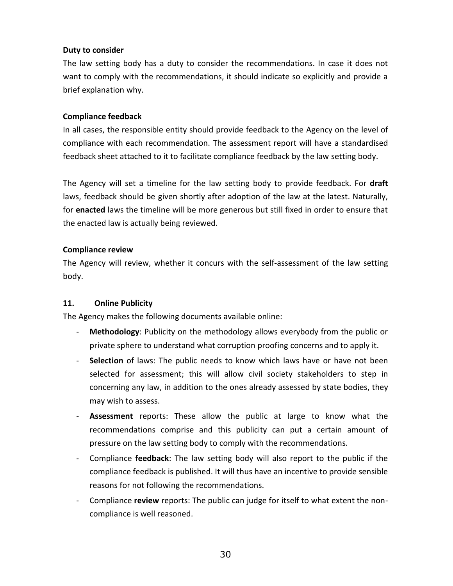#### **Duty to consider**

The law setting body has a duty to consider the recommendations. In case it does not want to comply with the recommendations, it should indicate so explicitly and provide a brief explanation why.

#### **Compliance feedback**

In all cases, the responsible entity should provide feedback to the Agency on the level of compliance with each recommendation. The assessment report will have a standardised feedback sheet attached to it to facilitate compliance feedback by the law setting body.

The Agency will set a timeline for the law setting body to provide feedback. For **draft** laws, feedback should be given shortly after adoption of the law at the latest. Naturally, for **enacted** laws the timeline will be more generous but still fixed in order to ensure that the enacted law is actually being reviewed.

#### **Compliance review**

The Agency will review, whether it concurs with the self-assessment of the law setting body.

## **11. Online Publicity**

The Agency makes the following documents available online:

- **Methodology:** Publicity on the methodology allows everybody from the public or private sphere to understand what corruption proofing concerns and to apply it.
- Selection of laws: The public needs to know which laws have or have not been selected for assessment; this will allow civil society stakeholders to step in concerning any law, in addition to the ones already assessed by state bodies, they may wish to assess.
- **Assessment** reports: These allow the public at large to know what the recommendations comprise and this publicity can put a certain amount of pressure on the law setting body to comply with the recommendations.
- Compliance **feedback**: The law setting body will also report to the public if the compliance feedback is published. It will thus have an incentive to provide sensible reasons for not following the recommendations.
- Compliance **review** reports: The public can judge for itself to what extent the noncompliance is well reasoned.